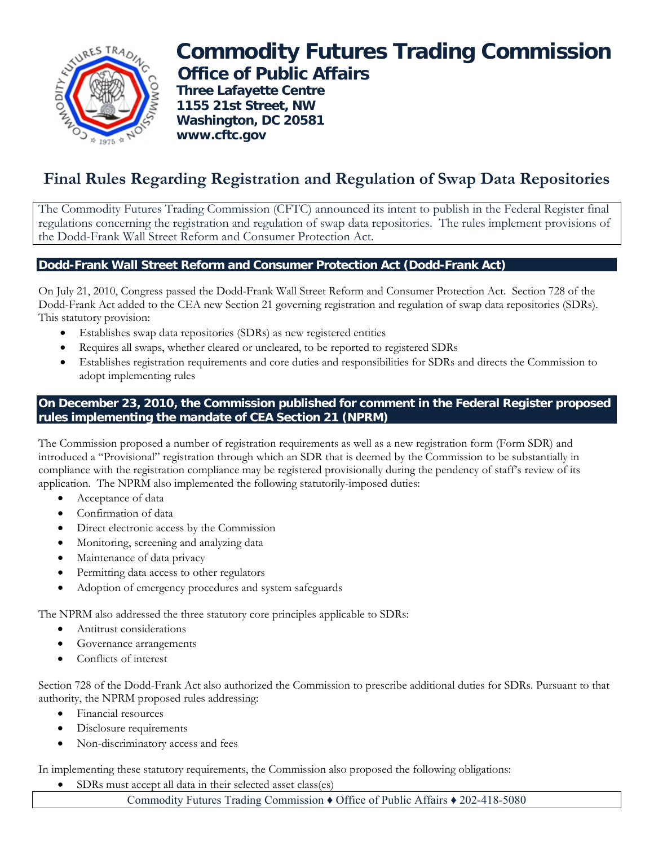

# **Commodity Futures Trading Commission Office of Public Affairs**

 **Three Lafayette Centre 1155 21st Street, NW Washington, DC 20581 www.cftc.gov**

# **Final Rules Regarding Registration and Regulation of Swap Data Repositories**

The Commodity Futures Trading Commission (CFTC) announced its intent to publish in the Federal Register final regulations concerning the registration and regulation of swap data repositories. The rules implement provisions of the Dodd-Frank Wall Street Reform and Consumer Protection Act.

## **Dodd-Frank Wall Street Reform and Consumer Protection Act (Dodd-Frank Act)**

On July 21, 2010, Congress passed the Dodd-Frank Wall Street Reform and Consumer Protection Act. Section 728 of the Dodd-Frank Act added to the CEA new Section 21 governing registration and regulation of swap data repositories (SDRs). This statutory provision:

- Establishes swap data repositories (SDRs) as new registered entities
- Requires all swaps, whether cleared or uncleared, to be reported to registered SDRs
- Establishes registration requirements and core duties and responsibilities for SDRs and directs the Commission to adopt implementing rules

### **On December 23, 2010, the Commission published for comment in the Federal Register proposed rules implementing the mandate of CEA Section 21 (NPRM)**

The Commission proposed a number of registration requirements as well as a new registration form (Form SDR) and introduced a "Provisional" registration through which an SDR that is deemed by the Commission to be substantially in compliance with the registration compliance may be registered provisionally during the pendency of staff's review of its application. The NPRM also implemented the following statutorily-imposed duties:

- Acceptance of data
- Confirmation of data
- Direct electronic access by the Commission
- Monitoring, screening and analyzing data
- Maintenance of data privacy
- Permitting data access to other regulators
- Adoption of emergency procedures and system safeguards

The NPRM also addressed the three statutory core principles applicable to SDRs:

- Antitrust considerations
- Governance arrangements
- Conflicts of interest

Section 728 of the Dodd-Frank Act also authorized the Commission to prescribe additional duties for SDRs. Pursuant to that authority, the NPRM proposed rules addressing:

- Financial resources
- Disclosure requirements
- Non-discriminatory access and fees

In implementing these statutory requirements, the Commission also proposed the following obligations:

SDRs must accept all data in their selected asset class(es)